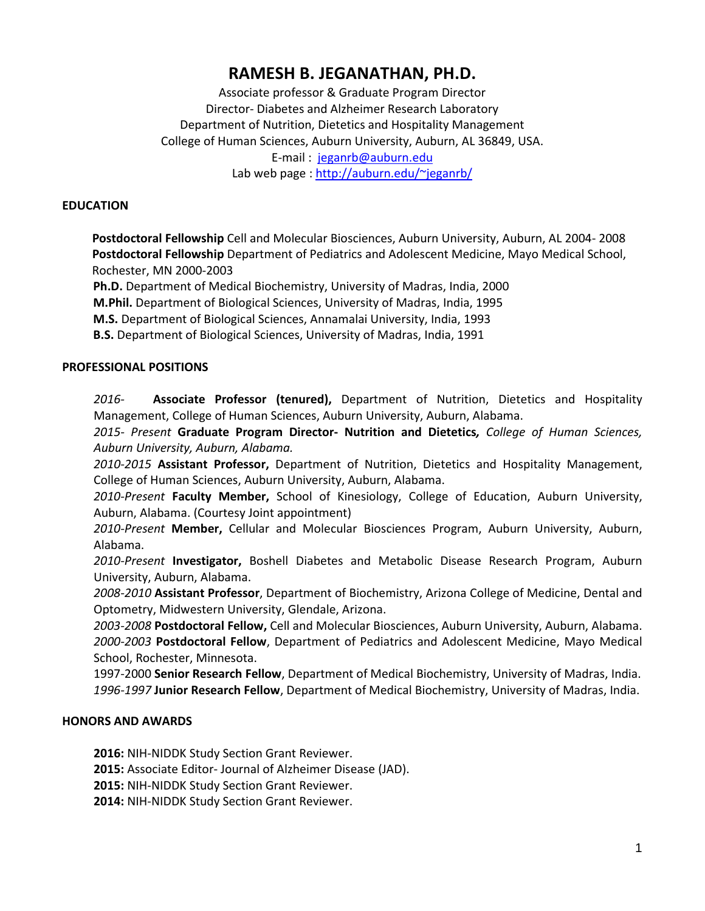# **RAMESH B. JEGANATHAN, PH.D.**

Associate professor & Graduate Program Director Director- Diabetes and Alzheimer Research Laboratory Department of Nutrition, Dietetics and Hospitality Management College of Human Sciences, Auburn University, Auburn, AL 36849, USA. E-mail : jeganrb@auburn.edu Lab web page : [http://auburn.edu/~jeganrb/](http://auburn.edu/%7Ejeganrb/) 

### **EDUCATION**

 **Postdoctoral Fellowship** Cell and Molecular Biosciences, Auburn University, Auburn, AL 2004- 2008 **Postdoctoral Fellowship** Department of Pediatrics and Adolescent Medicine, Mayo Medical School, Rochester, MN 2000-2003

**Ph.D.** Department of Medical Biochemistry, University of Madras, India, 2000 **M.Phil.** Department of Biological Sciences, University of Madras, India, 1995 **M.S.** Department of Biological Sciences, Annamalai University, India, 1993 **B.S.** Department of Biological Sciences, University of Madras, India, 1991

### **PROFESSIONAL POSITIONS**

*2016-* **Associate Professor (tenured),** Department of Nutrition, Dietetics and Hospitality Management, College of Human Sciences, Auburn University, Auburn, Alabama.

*2015- Present* **Graduate Program Director- Nutrition and Dietetics***, College of Human Sciences, Auburn University, Auburn, Alabama.*

*2010-2015* **Assistant Professor,** Department of Nutrition, Dietetics and Hospitality Management, College of Human Sciences, Auburn University, Auburn, Alabama.

*2010-Present* **Faculty Member,** School of Kinesiology, College of Education, Auburn University, Auburn, Alabama. (Courtesy Joint appointment)

*2010-Present* **Member,** Cellular and Molecular Biosciences Program, Auburn University, Auburn, Alabama.

*2010-Present* **Investigator,** Boshell Diabetes and Metabolic Disease Research Program, Auburn University, Auburn, Alabama.

*2008-2010* **Assistant Professor**, Department of Biochemistry, Arizona College of Medicine, Dental and Optometry, Midwestern University, Glendale, Arizona.

*2003-2008* **Postdoctoral Fellow,** Cell and Molecular Biosciences, Auburn University, Auburn, Alabama. *2000-2003* **Postdoctoral Fellow**, Department of Pediatrics and Adolescent Medicine, Mayo Medical School, Rochester, Minnesota.

1997-2000 **Senior Research Fellow**, Department of Medical Biochemistry, University of Madras, India. *1996-1997* **Junior Research Fellow**, Department of Medical Biochemistry, University of Madras, India.

### **HONORS AND AWARDS**

**2016:** NIH-NIDDK Study Section Grant Reviewer.

**2015:** Associate Editor- Journal of Alzheimer Disease (JAD).

**2015:** NIH-NIDDK Study Section Grant Reviewer.

**2014:** NIH-NIDDK Study Section Grant Reviewer.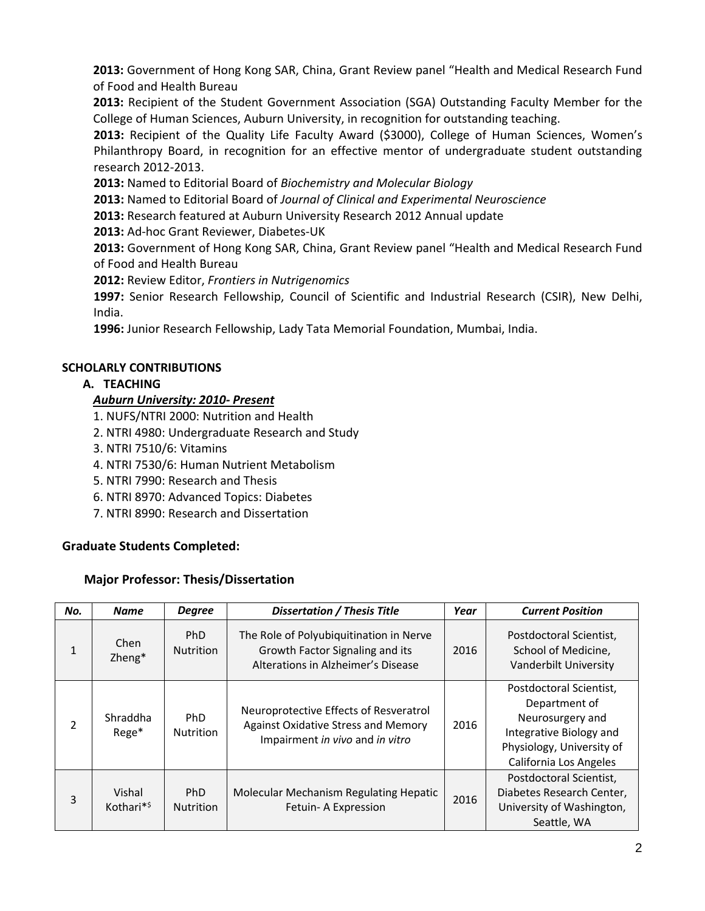**2013:** Government of Hong Kong SAR, China, Grant Review panel "Health and Medical Research Fund of Food and Health Bureau

**2013:** Recipient of the Student Government Association (SGA) Outstanding Faculty Member for the College of Human Sciences, Auburn University, in recognition for outstanding teaching.

**2013:** Recipient of the Quality Life Faculty Award (\$3000), College of Human Sciences, Women's Philanthropy Board, in recognition for an effective mentor of undergraduate student outstanding research 2012-2013.

**2013:** Named to Editorial Board of *Biochemistry and Molecular Biology*

**2013:** Named to Editorial Board of *Journal of Clinical and Experimental Neuroscience*

**2013:** Research featured at Auburn University Research 2012 Annual update

**2013:** Ad-hoc Grant Reviewer, Diabetes-UK

**2013:** Government of Hong Kong SAR, China, Grant Review panel "Health and Medical Research Fund of Food and Health Bureau

**2012:** Review Editor, *Frontiers in Nutrigenomics*

**1997:** Senior Research Fellowship, Council of Scientific and Industrial Research (CSIR), New Delhi, India.

**1996:** Junior Research Fellowship, Lady Tata Memorial Foundation, Mumbai, India.

### **SCHOLARLY CONTRIBUTIONS**

### **A. TEACHING**

### *Auburn University: 2010- Present*

- 1. NUFS/NTRI 2000: Nutrition and Health
- 2. NTRI 4980: Undergraduate Research and Study
- 3. NTRI 7510/6: Vitamins
- 4. NTRI 7530/6: Human Nutrient Metabolism
- 5. NTRI 7990: Research and Thesis
- 6. NTRI 8970: Advanced Topics: Diabetes
- 7. NTRI 8990: Research and Dissertation

### **Graduate Students Completed:**

### **Major Professor: Thesis/Dissertation**

| No.          | <b>Name</b>                         | <b>Degree</b>                  | Dissertation / Thesis Title                                                                                              | Year | <b>Current Position</b>                                                                                                                        |
|--------------|-------------------------------------|--------------------------------|--------------------------------------------------------------------------------------------------------------------------|------|------------------------------------------------------------------------------------------------------------------------------------------------|
| $\mathbf{1}$ | Chen<br>Zheng*                      | <b>PhD</b><br><b>Nutrition</b> | The Role of Polyubiquitination in Nerve<br>Growth Factor Signaling and its<br>Alterations in Alzheimer's Disease         | 2016 | Postdoctoral Scientist,<br>School of Medicine,<br>Vanderbilt University                                                                        |
| 2            | Shraddha<br>Rege*                   | <b>PhD</b><br><b>Nutrition</b> | Neuroprotective Effects of Resveratrol<br>Against Oxidative Stress and Memory<br>2016<br>Impairment in vivo and in vitro |      | Postdoctoral Scientist,<br>Department of<br>Neurosurgery and<br>Integrative Biology and<br>Physiology, University of<br>California Los Angeles |
| 3            | Vishal<br>Kothari $*$ <sup>\$</sup> | <b>PhD</b><br><b>Nutrition</b> | Molecular Mechanism Regulating Hepatic<br>Fetuin-A Expression                                                            | 2016 | Postdoctoral Scientist,<br>Diabetes Research Center,<br>University of Washington,<br>Seattle, WA                                               |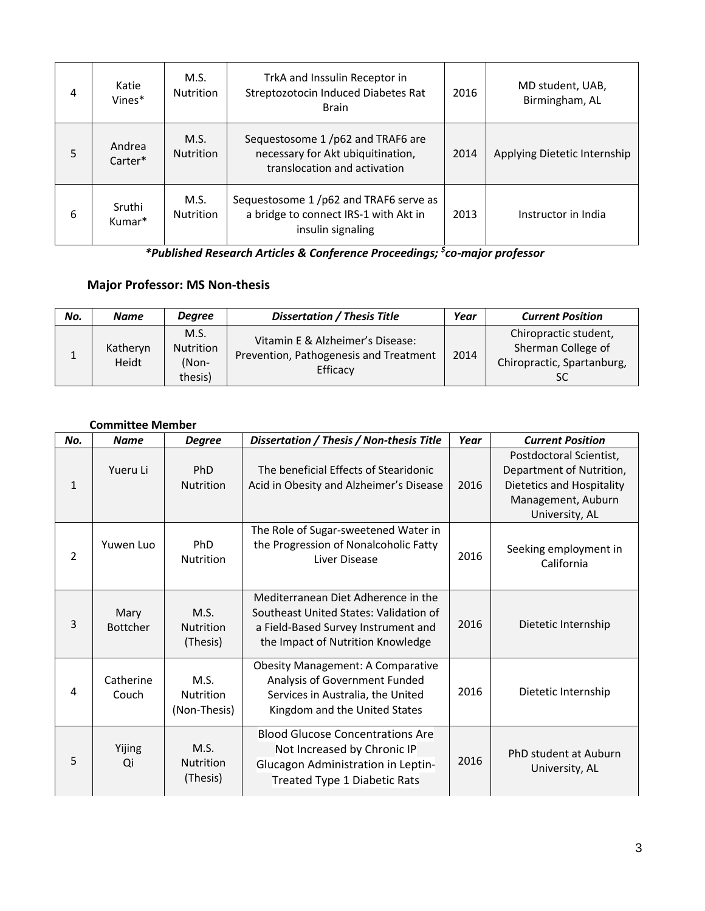| 4 | Katie<br>Vines*              | M.S.<br><b>Nutrition</b> | TrkA and Inssulin Receptor in<br>Streptozotocin Induced Diabetes Rat<br><b>Brain</b>                  |      | MD student, UAB,<br>Birmingham, AL |
|---|------------------------------|--------------------------|-------------------------------------------------------------------------------------------------------|------|------------------------------------|
| 5 | Andrea<br>Carter*            | M.S.<br><b>Nutrition</b> | Sequestosome 1/p62 and TRAF6 are<br>necessary for Akt ubiquitination,<br>translocation and activation | 2014 | Applying Dietetic Internship       |
| 6 | Sruthi<br>Kumar <sup>*</sup> | M.S.<br><b>Nutrition</b> | Sequestosome 1/p62 and TRAF6 serve as<br>a bridge to connect IRS-1 with Akt in<br>insulin signaling   | 2013 | Instructor in India                |

*\*Published Research Articles & Conference Proceedings; \$ co-major professor*

## **Major Professor: MS Non-thesis**

| No. | <b>Name</b>       | <b>Degree</b>                                | <b>Dissertation / Thesis Title</b>                                                     | Year | <b>Current Position</b>                                                         |
|-----|-------------------|----------------------------------------------|----------------------------------------------------------------------------------------|------|---------------------------------------------------------------------------------|
|     | Katheryn<br>Heidt | M.S.<br><b>Nutrition</b><br>(Non-<br>thesis) | Vitamin E & Alzheimer's Disease:<br>Prevention, Pathogenesis and Treatment<br>Efficacy | 2014 | Chiropractic student,<br>Sherman College of<br>Chiropractic, Spartanburg,<br>SC |

### **Committee Member**

| No.          | <b>Name</b>             | <b>Degree</b>                            | Dissertation / Thesis / Non-thesis Title                                                                                                                  | Year | <b>Current Position</b>                                                                                                  |
|--------------|-------------------------|------------------------------------------|-----------------------------------------------------------------------------------------------------------------------------------------------------------|------|--------------------------------------------------------------------------------------------------------------------------|
| $\mathbf{1}$ | Yueru Li                | <b>PhD</b><br><b>Nutrition</b>           | The beneficial Effects of Stearidonic<br>Acid in Obesity and Alzheimer's Disease                                                                          | 2016 | Postdoctoral Scientist,<br>Department of Nutrition,<br>Dietetics and Hospitality<br>Management, Auburn<br>University, AL |
| 2            | Yuwen Luo               | <b>PhD</b><br><b>Nutrition</b>           | The Role of Sugar-sweetened Water in<br>the Progression of Nonalcoholic Fatty<br>Liver Disease                                                            | 2016 | Seeking employment in<br>California                                                                                      |
| 3            | Mary<br><b>Bottcher</b> | M.S.<br><b>Nutrition</b><br>(Thesis)     | Mediterranean Diet Adherence in the<br>Southeast United States: Validation of<br>a Field-Based Survey Instrument and<br>the Impact of Nutrition Knowledge | 2016 | Dietetic Internship                                                                                                      |
| 4            | Catherine<br>Couch      | M.S.<br><b>Nutrition</b><br>(Non-Thesis) | <b>Obesity Management: A Comparative</b><br>Analysis of Government Funded<br>Services in Australia, the United<br>Kingdom and the United States           | 2016 | Dietetic Internship                                                                                                      |
| 5            | Yijing<br>Qi            | M.S.<br><b>Nutrition</b><br>(Thesis)     | <b>Blood Glucose Concentrations Are</b><br>Not Increased by Chronic IP<br>Glucagon Administration in Leptin-<br>Treated Type 1 Diabetic Rats              | 2016 | PhD student at Auburn<br>University, AL                                                                                  |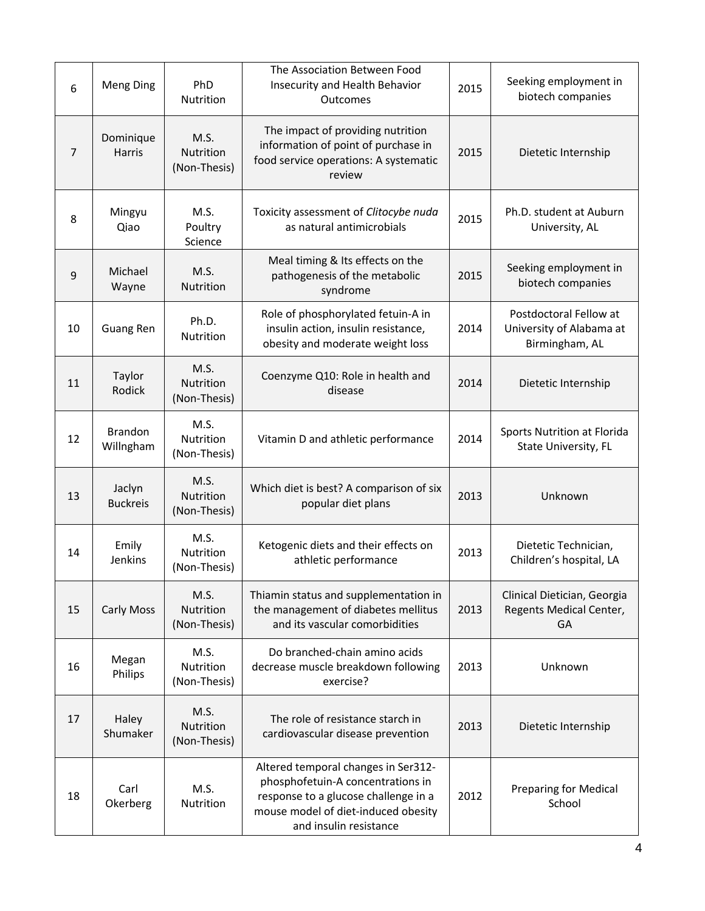| 6  | Meng Ding                   | PhD<br>Nutrition                  | The Association Between Food<br>Insecurity and Health Behavior<br>Outcomes                                                                                                        | 2015 | Seeking employment in<br>biotech companies                           |
|----|-----------------------------|-----------------------------------|-----------------------------------------------------------------------------------------------------------------------------------------------------------------------------------|------|----------------------------------------------------------------------|
| 7  | Dominique<br>Harris         | M.S.<br>Nutrition<br>(Non-Thesis) | The impact of providing nutrition<br>information of point of purchase in<br>2015<br>food service operations: A systematic<br>review                                               |      | Dietetic Internship                                                  |
| 8  | Mingyu<br>Qiao              | M.S.<br>Poultry<br>Science        | Toxicity assessment of Clitocybe nuda<br>as natural antimicrobials                                                                                                                | 2015 | Ph.D. student at Auburn<br>University, AL                            |
| 9  | Michael<br>Wayne            | M.S.<br>Nutrition                 | Meal timing & Its effects on the<br>pathogenesis of the metabolic<br>syndrome                                                                                                     | 2015 | Seeking employment in<br>biotech companies                           |
| 10 | <b>Guang Ren</b>            | Ph.D.<br>Nutrition                | Role of phosphorylated fetuin-A in<br>insulin action, insulin resistance,<br>obesity and moderate weight loss                                                                     | 2014 | Postdoctoral Fellow at<br>University of Alabama at<br>Birmingham, AL |
| 11 | Taylor<br>Rodick            | M.S.<br>Nutrition<br>(Non-Thesis) | Coenzyme Q10: Role in health and<br>2014<br>disease                                                                                                                               |      | Dietetic Internship                                                  |
| 12 | <b>Brandon</b><br>Willngham | M.S.<br>Nutrition<br>(Non-Thesis) | Vitamin D and athletic performance                                                                                                                                                | 2014 | Sports Nutrition at Florida<br>State University, FL                  |
| 13 | Jaclyn<br><b>Buckreis</b>   | M.S.<br>Nutrition<br>(Non-Thesis) | Which diet is best? A comparison of six<br>2013<br>popular diet plans                                                                                                             |      | Unknown                                                              |
| 14 | Emily<br>Jenkins            | M.S.<br>Nutrition<br>(Non-Thesis) | Ketogenic diets and their effects on<br>athletic performance                                                                                                                      | 2013 | Dietetic Technician,<br>Children's hospital, LA                      |
| 15 | <b>Carly Moss</b>           | M.S.<br>Nutrition<br>(Non-Thesis) | Thiamin status and supplementation in<br>the management of diabetes mellitus<br>and its vascular comorbidities                                                                    | 2013 | Clinical Dietician, Georgia<br>Regents Medical Center,<br>GA         |
| 16 | Megan<br>Philips            | M.S.<br>Nutrition<br>(Non-Thesis) | Do branched-chain amino acids<br>decrease muscle breakdown following<br>exercise?                                                                                                 | 2013 | Unknown                                                              |
| 17 | Haley<br>Shumaker           | M.S.<br>Nutrition<br>(Non-Thesis) | The role of resistance starch in<br>2013<br>cardiovascular disease prevention                                                                                                     |      | Dietetic Internship                                                  |
| 18 | Carl<br>Okerberg            | M.S.<br>Nutrition                 | Altered temporal changes in Ser312-<br>phosphofetuin-A concentrations in<br>response to a glucose challenge in a<br>mouse model of diet-induced obesity<br>and insulin resistance | 2012 | <b>Preparing for Medical</b><br>School                               |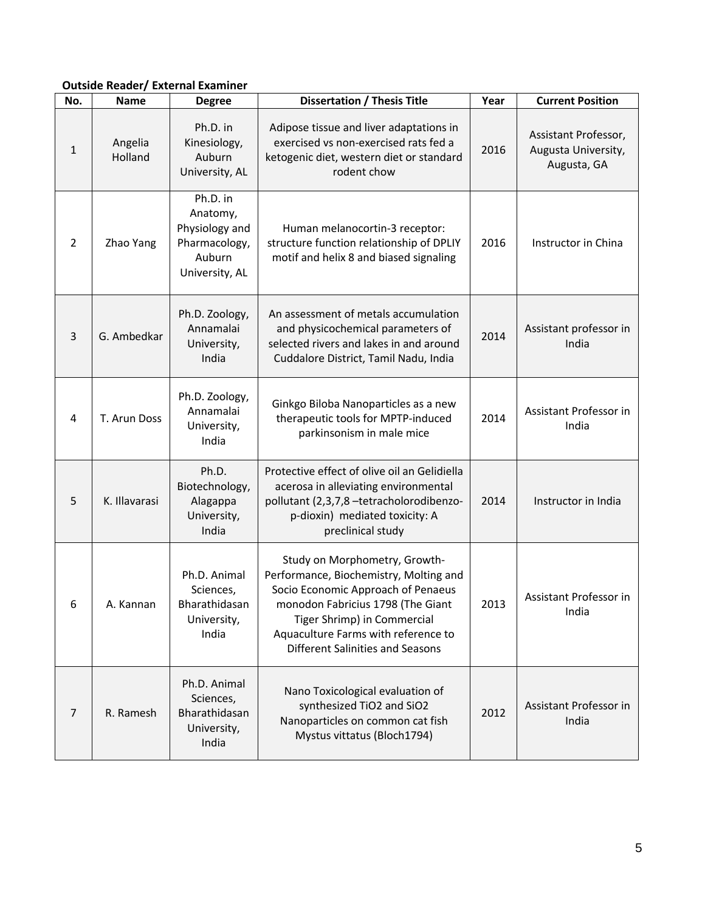### **Outside Reader/ External Examiner**

| No.            | <b>Name</b>        | <b>Degree</b>                                                                                                                                                                                               | <b>Dissertation / Thesis Title</b>                                                                                                                                                                                                                                  | Year | <b>Current Position</b>                                    |
|----------------|--------------------|-------------------------------------------------------------------------------------------------------------------------------------------------------------------------------------------------------------|---------------------------------------------------------------------------------------------------------------------------------------------------------------------------------------------------------------------------------------------------------------------|------|------------------------------------------------------------|
| 1              | Angelia<br>Holland | Ph.D. in<br>Kinesiology,<br>Auburn<br>University, AL                                                                                                                                                        | Adipose tissue and liver adaptations in<br>exercised vs non-exercised rats fed a<br>ketogenic diet, western diet or standard<br>rodent chow                                                                                                                         | 2016 | Assistant Professor,<br>Augusta University,<br>Augusta, GA |
| 2              | Zhao Yang          | Ph.D. in<br>Anatomy,<br>Physiology and<br>Human melanocortin-3 receptor:<br>Pharmacology,<br>structure function relationship of DPLIY<br>Auburn<br>motif and helix 8 and biased signaling<br>University, AL |                                                                                                                                                                                                                                                                     | 2016 | Instructor in China                                        |
| $\overline{3}$ | G. Ambedkar        | Ph.D. Zoology,<br>Annamalai<br>University,<br>India                                                                                                                                                         | An assessment of metals accumulation<br>and physicochemical parameters of<br>2014<br>selected rivers and lakes in and around<br>Cuddalore District, Tamil Nadu, India                                                                                               |      | Assistant professor in<br>India                            |
| 4              | T. Arun Doss       | Ph.D. Zoology,<br>Annamalai<br>University,<br>India                                                                                                                                                         | Ginkgo Biloba Nanoparticles as a new<br>therapeutic tools for MPTP-induced<br>parkinsonism in male mice                                                                                                                                                             |      | Assistant Professor in<br>India                            |
| 5              | K. Illavarasi      | Ph.D.<br>Biotechnology,<br>Alagappa<br>University,<br>India                                                                                                                                                 | Protective effect of olive oil an Gelidiella<br>acerosa in alleviating environmental<br>pollutant (2,3,7,8 -tetracholorodibenzo-<br>p-dioxin) mediated toxicity: A<br>preclinical study                                                                             |      | Instructor in India                                        |
| 6              | A. Kannan          | Ph.D. Animal<br>Sciences,<br>Bharathidasan<br>University,<br>India                                                                                                                                          | Study on Morphometry, Growth-<br>Performance, Biochemistry, Molting and<br>Socio Economic Approach of Penaeus<br>monodon Fabricius 1798 (The Giant<br>Tiger Shrimp) in Commercial<br>Aquaculture Farms with reference to<br><b>Different Salinities and Seasons</b> | 2013 | Assistant Professor in<br>India                            |
| $\overline{7}$ | R. Ramesh          | Ph.D. Animal<br>Sciences,<br>Bharathidasan<br>University,<br>India                                                                                                                                          | Nano Toxicological evaluation of<br>synthesized TiO2 and SiO2<br>Nanoparticles on common cat fish<br>Mystus vittatus (Bloch1794)                                                                                                                                    | 2012 | Assistant Professor in<br>India                            |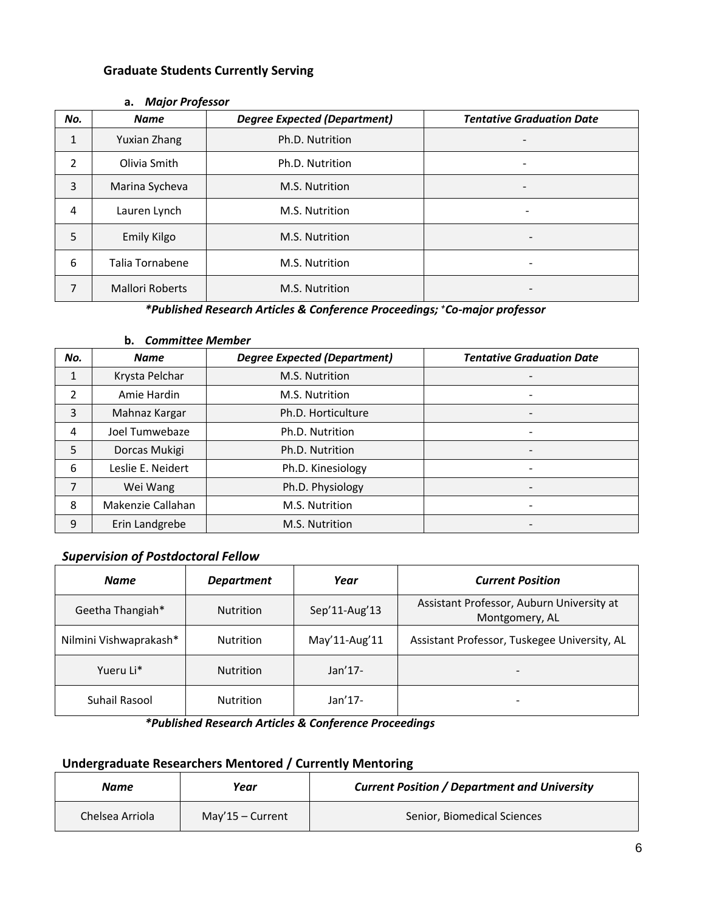### **Graduate Students Currently Serving**

| No.          | <b>Name</b>            | <b>Degree Expected (Department)</b> | <b>Tentative Graduation Date</b> |
|--------------|------------------------|-------------------------------------|----------------------------------|
| $\mathbf{1}$ | Yuxian Zhang           | Ph.D. Nutrition                     |                                  |
| 2            | Olivia Smith           | Ph.D. Nutrition                     |                                  |
| 3            | Marina Sycheva         | M.S. Nutrition                      |                                  |
| 4            | Lauren Lynch           | M.S. Nutrition                      | -                                |
| 5            | <b>Emily Kilgo</b>     | M.S. Nutrition                      |                                  |
| 6            | Talia Tornabene        | M.S. Nutrition                      |                                  |
| 7            | <b>Mallori Roberts</b> | M.S. Nutrition                      |                                  |

#### **a.** *Major Professor*

### *\*Published Research Articles & Conference Proceedings; + Co-major professor*

### **b.** *Committee Member*

| No. | <b>Name</b>       | <b>Degree Expected (Department)</b> | <b>Tentative Graduation Date</b> |
|-----|-------------------|-------------------------------------|----------------------------------|
| 1   | Krysta Pelchar    | M.S. Nutrition                      |                                  |
| 2   | Amie Hardin       | M.S. Nutrition                      |                                  |
| 3   | Mahnaz Kargar     | Ph.D. Horticulture                  |                                  |
| 4   | Joel Tumwebaze    | Ph.D. Nutrition                     |                                  |
| 5   | Dorcas Mukigi     | Ph.D. Nutrition                     |                                  |
| 6   | Leslie E. Neidert | Ph.D. Kinesiology                   |                                  |
| 7   | Wei Wang          | Ph.D. Physiology                    |                                  |
| 8   | Makenzie Callahan | M.S. Nutrition                      |                                  |
| 9   | Erin Landgrebe    | M.S. Nutrition                      |                                  |

### *Supervision of Postdoctoral Fellow*

| <b>Name</b>            | <b>Department</b> | Year              | <b>Current Position</b>                                     |
|------------------------|-------------------|-------------------|-------------------------------------------------------------|
| Geetha Thangiah*       | <b>Nutrition</b>  | Sep'11-Aug'13     | Assistant Professor, Auburn University at<br>Montgomery, AL |
| Nilmini Vishwaprakash* | <b>Nutrition</b>  | May'11-Aug'11     | Assistant Professor, Tuskegee University, AL                |
| Yueru Li*              | <b>Nutrition</b>  | Jan <sub>17</sub> |                                                             |
| Suhail Rasool          | <b>Nutrition</b>  | Jan <sub>17</sub> |                                                             |

*\*Published Research Articles & Conference Proceedings*

### **Undergraduate Researchers Mentored / Currently Mentoring**

| Name            | Year             | <b>Current Position / Department and University</b> |
|-----------------|------------------|-----------------------------------------------------|
| Chelsea Arriola | May'15 – Current | Senior, Biomedical Sciences                         |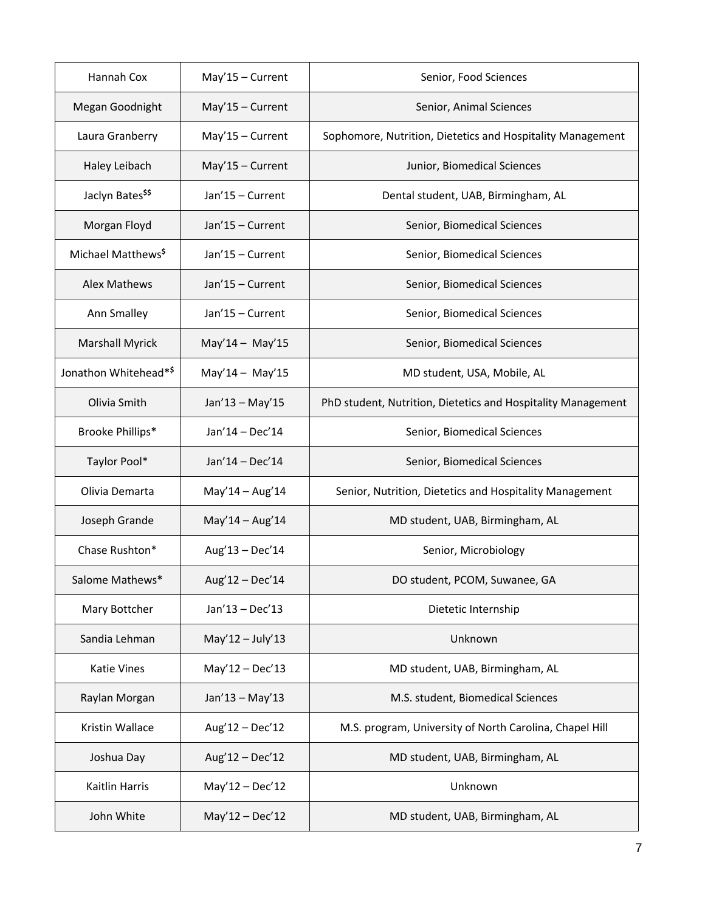| Hannah Cox                     | May'15 - Current   | Senior, Food Sciences                                        |
|--------------------------------|--------------------|--------------------------------------------------------------|
| Megan Goodnight                | $May'15 - Current$ | Senior, Animal Sciences                                      |
| Laura Granberry                | $May'15 - Current$ | Sophomore, Nutrition, Dietetics and Hospitality Management   |
| Haley Leibach                  | $May'15 - Current$ | Junior, Biomedical Sciences                                  |
| Jaclyn Bates <sup>\$\$</sup>   | Jan'15 - Current   | Dental student, UAB, Birmingham, AL                          |
| Morgan Floyd                   | Jan'15 - Current   | Senior, Biomedical Sciences                                  |
| Michael Matthews <sup>\$</sup> | Jan'15 - Current   | Senior, Biomedical Sciences                                  |
| <b>Alex Mathews</b>            | Jan'15 - Current   | Senior, Biomedical Sciences                                  |
| Ann Smalley                    | Jan'15 - Current   | Senior, Biomedical Sciences                                  |
| <b>Marshall Myrick</b>         | $May'14 - May'15$  | Senior, Biomedical Sciences                                  |
| Jonathon Whitehead*\$          | $May'14 - May'15$  | MD student, USA, Mobile, AL                                  |
| Olivia Smith                   | Jan'13 - May'15    | PhD student, Nutrition, Dietetics and Hospitality Management |
| Brooke Phillips*               | $Jan'14 - Dec'14$  | Senior, Biomedical Sciences                                  |
| Taylor Pool*                   | Jan'14 - Dec'14    | Senior, Biomedical Sciences                                  |
| Olivia Demarta                 | $May'14 - Aug'14$  | Senior, Nutrition, Dietetics and Hospitality Management      |
| Joseph Grande                  | $May'14 - Aug'14$  | MD student, UAB, Birmingham, AL                              |
| Chase Rushton*                 | Aug'13 - Dec'14    | Senior, Microbiology                                         |
| Salome Mathews*                | Aug'12 - Dec'14    | DO student, PCOM, Suwanee, GA                                |
| Mary Bottcher                  | Jan'13 - Dec'13    | Dietetic Internship                                          |
| Sandia Lehman                  | $May'12 - July'13$ | Unknown                                                      |
| Katie Vines                    | $May'12 - Dec'13$  | MD student, UAB, Birmingham, AL                              |
| Raylan Morgan                  | $Jan'13 - May'13$  | M.S. student, Biomedical Sciences                            |
| Kristin Wallace                | Aug'12 - Dec'12    | M.S. program, University of North Carolina, Chapel Hill      |
| Joshua Day                     | Aug'12 - Dec'12    | MD student, UAB, Birmingham, AL                              |
| Kaitlin Harris                 | $May'12 - Dec'12$  | Unknown                                                      |
| John White                     | $May'12 - Dec'12$  | MD student, UAB, Birmingham, AL                              |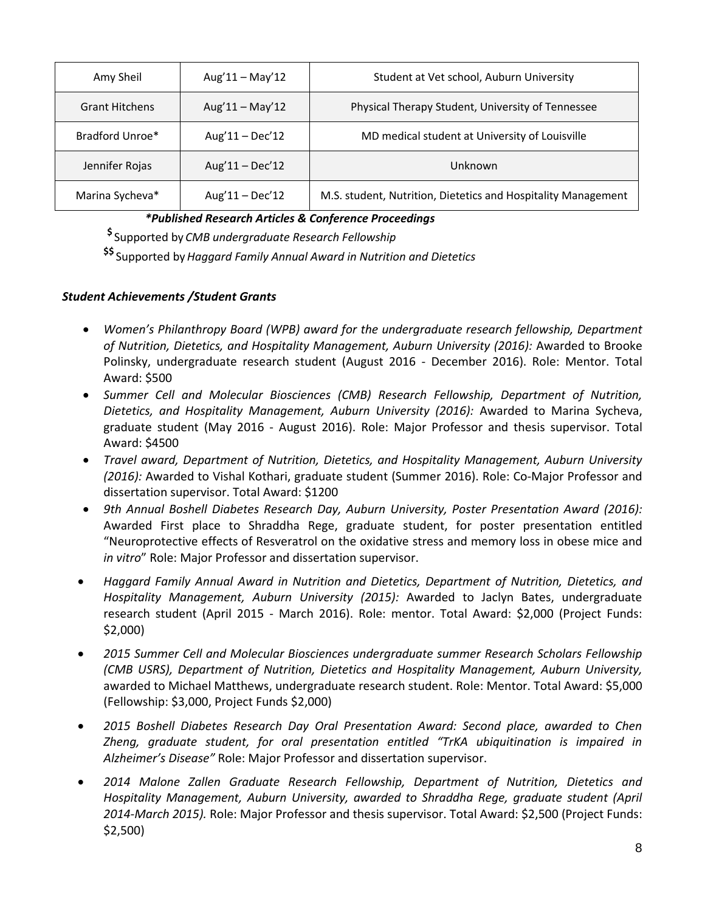| Amy Sheil             | $Aug'11 - May'12$ | Student at Vet school, Auburn University                      |
|-----------------------|-------------------|---------------------------------------------------------------|
| <b>Grant Hitchens</b> | Aug'11 - May'12   | Physical Therapy Student, University of Tennessee             |
| Bradford Unroe*       | $Aug'11 - Dec'12$ | MD medical student at University of Louisville                |
| Jennifer Rojas        | $Aug'11 - Dec'12$ | Unknown                                                       |
| Marina Sycheva*       | $Aug'11 - Dec'12$ | M.S. student, Nutrition, Dietetics and Hospitality Management |

### *\*Published Research Articles & Conference Proceedings*

**\$** Supported by *CMB undergraduate Research Fellowship* 

**\$\$** Supported by*Haggard Family Annual Award in Nutrition and Dietetics*

### *Student Achievements /Student Grants*

- *Women's Philanthropy Board (WPB) award for the undergraduate research fellowship, Department of Nutrition, Dietetics, and Hospitality Management, Auburn University (2016):* Awarded to Brooke Polinsky, undergraduate research student (August 2016 - December 2016). Role: Mentor. Total Award: \$500
- *Summer Cell and Molecular Biosciences (CMB) Research Fellowship, Department of Nutrition, Dietetics, and Hospitality Management, Auburn University (2016):* Awarded to Marina Sycheva, graduate student (May 2016 - August 2016). Role: Major Professor and thesis supervisor. Total Award: \$4500
- *Travel award, Department of Nutrition, Dietetics, and Hospitality Management, Auburn University (2016):* Awarded to Vishal Kothari, graduate student (Summer 2016). Role: Co-Major Professor and dissertation supervisor. Total Award: \$1200
- *9th Annual Boshell Diabetes Research Day, Auburn University, Poster Presentation Award (2016):* Awarded First place to Shraddha Rege, graduate student, for poster presentation entitled "Neuroprotective effects of Resveratrol on the oxidative stress and memory loss in obese mice and *in vitro*" Role: Major Professor and dissertation supervisor.
- *Haggard Family Annual Award in Nutrition and Dietetics, Department of Nutrition, Dietetics, and Hospitality Management, Auburn University (2015):* Awarded to Jaclyn Bates, undergraduate research student (April 2015 - March 2016). Role: mentor. Total Award: \$2,000 (Project Funds: \$2,000)
- *2015 Summer Cell and Molecular Biosciences undergraduate summer Research Scholars Fellowship (CMB USRS), Department of Nutrition, Dietetics and Hospitality Management, Auburn University,*  awarded to Michael Matthews, undergraduate research student. Role: Mentor. Total Award: \$5,000 (Fellowship: \$3,000, Project Funds \$2,000)
- *2015 Boshell Diabetes Research Day Oral Presentation Award: Second place, awarded to Chen Zheng, graduate student, for oral presentation entitled "TrKA ubiquitination is impaired in Alzheimer's Disease"* Role: Major Professor and dissertation supervisor.
- *2014 Malone Zallen Graduate Research Fellowship, Department of Nutrition, Dietetics and Hospitality Management, Auburn University, awarded to Shraddha Rege, graduate student (April 2014-March 2015).* Role: Major Professor and thesis supervisor. Total Award: \$2,500 (Project Funds: \$2,500)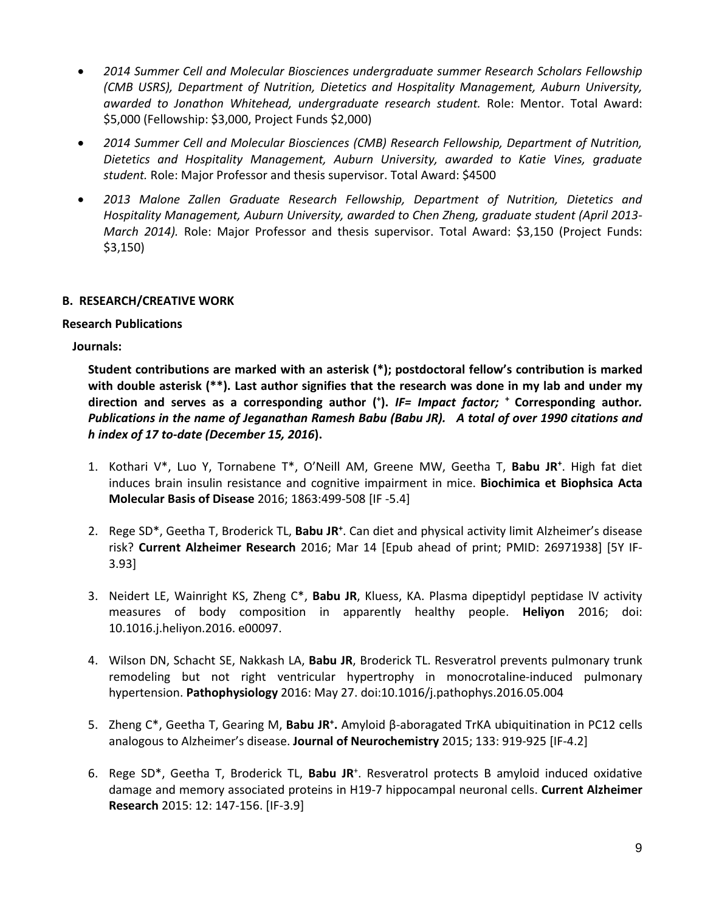- *2014 Summer Cell and Molecular Biosciences undergraduate summer Research Scholars Fellowship (CMB USRS), Department of Nutrition, Dietetics and Hospitality Management, Auburn University, awarded to Jonathon Whitehead, undergraduate research student.* Role: Mentor. Total Award: \$5,000 (Fellowship: \$3,000, Project Funds \$2,000)
- *2014 Summer Cell and Molecular Biosciences (CMB) Research Fellowship, Department of Nutrition, Dietetics and Hospitality Management, Auburn University, awarded to Katie Vines, graduate student.* Role: Major Professor and thesis supervisor. Total Award: \$4500
- *2013 Malone Zallen Graduate Research Fellowship, Department of Nutrition, Dietetics and Hospitality Management, Auburn University, awarded to Chen Zheng, graduate student (April 2013- March 2014).* Role: Major Professor and thesis supervisor. Total Award: \$3,150 (Project Funds: \$3,150)

### **B. RESEARCH/CREATIVE WORK**

### **Research Publications**

**Journals:**

**Student contributions are marked with an asterisk (\*); postdoctoral fellow's contribution is marked with double asterisk (\*\*). Last author signifies that the research was done in my lab and under my direction and serves as a corresponding author (+ ).** *IF= Impact factor;* **+ Corresponding author***. Publications in the name of Jeganathan Ramesh Babu (Babu JR). A total of over 1990 citations and h index of 17 to-date (December 15, 2016***).**

- 1. Kothari V\*, Luo Y, Tornabene T\*, O'Neill AM, Greene MW, Geetha T, **Babu JR+** . High fat diet induces brain insulin resistance and cognitive impairment in mice. **Biochimica et Biophsica Acta Molecular Basis of Disease** 2016; 1863:499-508 [IF -5.4]
- 2. Rege SD\*, Geetha T, Broderick TL, **Babu JR+** . Can diet and physical activity limit Alzheimer's disease risk? **Current Alzheimer Research** 2016; Mar 14 [Epub ahead of print; PMID: 26971938] [5Y IF-3.93]
- 3. Neidert LE, Wainright KS, Zheng C\*, **Babu JR**, Kluess, KA. Plasma dipeptidyl peptidase lV activity measures of body composition in apparently healthy people. **Heliyon** 2016; doi: 10.1016.j.heliyon.2016. e00097.
- 4. Wilson DN, Schacht SE, Nakkash LA, **Babu JR**, Broderick TL. Resveratrol prevents pulmonary trunk remodeling but not right ventricular hypertrophy in monocrotaline-induced pulmonary hypertension. **Pathophysiology** 2016: May 27. doi:10.1016/j.pathophys.2016.05.004
- 5. Zheng C\*, Geetha T, Gearing M, **Babu JR+ .** Amyloid β-aboragated TrKA ubiquitination in PC12 cells analogous to Alzheimer's disease. **Journal of Neurochemistry** 2015; 133: 919-925 [IF-4.2]
- 6. Rege SD<sup>\*</sup>, Geetha T, Broderick TL, Babu JR<sup>+</sup>. Resveratrol protects B amyloid induced oxidative damage and memory associated proteins in H19-7 hippocampal neuronal cells. **Current Alzheimer Research** 2015: 12: 147-156. [IF-3.9]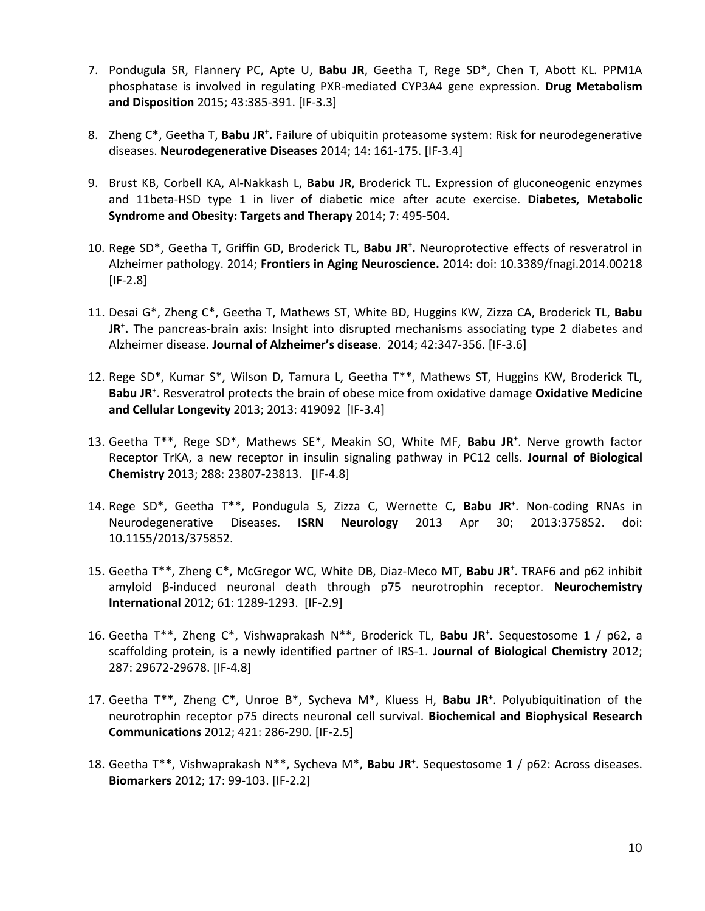- 7. Pondugula SR, Flannery PC, Apte U, **Babu JR**, Geetha T, Rege SD\*, Chen T, Abott KL. PPM1A phosphatase is involved in regulating PXR-mediated CYP3A4 gene expression. **Drug Metabolism and Disposition** 2015; 43:385-391. [IF-3.3]
- 8. Zheng C\*, Geetha T, Babu JR<sup>+</sup>. Failure of ubiquitin proteasome system: Risk for neurodegenerative diseases. **Neurodegenerative Diseases** 2014; 14: 161-175. [IF-3.4]
- 9. Brust KB, Corbell KA, Al-Nakkash L, **Babu JR**, Broderick TL. Expression of gluconeogenic enzymes and 11beta-HSD type 1 in liver of diabetic mice after acute exercise. **Diabetes, Metabolic Syndrome and Obesity: Targets and Therapy** 2014; 7: 495-504.
- 10. Rege SD\*, Geetha T, Griffin GD, Broderick TL, **Babu JR+ .** Neuroprotective effects of resveratrol in Alzheimer pathology. 2014; **Frontiers in Aging Neuroscience.** 2014: doi: 10.3389/fnagi.2014.00218  $[IF-2.8]$
- 11. Desai G\*, Zheng C\*, Geetha T, Mathews ST, White BD, Huggins KW, Zizza CA, Broderick TL, **Babu JR+ .** The pancreas-brain axis: Insight into disrupted mechanisms associating type 2 diabetes and Alzheimer disease. **Journal of Alzheimer's disease**. 2014; 42:347-356. [IF-3.6]
- 12. Rege SD\*, Kumar S\*, Wilson D, Tamura L, Geetha T\*\*, Mathews ST, Huggins KW, Broderick TL, **Babu JR+** . Resveratrol protects the brain of obese mice from oxidative damage **Oxidative Medicine and Cellular Longevity** 2013; 2013: 419092[IF-3.4]
- 13. Geetha T\*\*, Rege SD\*, Mathews SE\*, Meakin SO, White MF, **Babu JR+** . Nerve growth factor Receptor TrKA, a new receptor in insulin signaling pathway in PC12 cells. **Journal of Biological Chemistry** 2013; 288: 23807-23813. [IF-4.8]
- 14. Rege SD\*, Geetha T\*\*, Pondugula S, Zizza C, Wernette C, **Babu JR+** . Non-coding RNAs in Neurodegenerative Diseases. **ISRN Neurology** 2013 Apr 30; 2013:375852. doi: 10.1155/2013/375852.
- 15. Geetha T\*\*, Zheng C\*, McGregor WC, White DB, Diaz-Meco MT, **Babu JR+** . TRAF6 and p62 inhibit amyloid β-induced neuronal death through p75 neurotrophin receptor. **Neurochemistry International** 2012; 61: 1289-1293. [IF-2.9]
- 16. Geetha T\*\*, Zheng C\*, Vishwaprakash N\*\*, Broderick TL, **Babu JR+** . Sequestosome 1 / p62, a scaffolding protein, is a newly identified partner of IRS-1. **Journal of Biological Chemistry** 2012; 287: 29672-29678. [IF-4.8]
- 17. Geetha T\*\*, Zheng C\*, Unroe B\*, Sycheva M\*, Kluess H, **Babu JR+** . Polyubiquitination of the neurotrophin receptor p75 directs neuronal cell survival. **Biochemical and Biophysical Research Communications** 2012; 421: 286-290. [IF-2.5]
- 18. Geetha T\*\*, Vishwaprakash N\*\*, Sycheva M\*, **Babu JR+** . Sequestosome 1 / p62: Across diseases. **Biomarkers** 2012; 17: 99-103. [IF-2.2]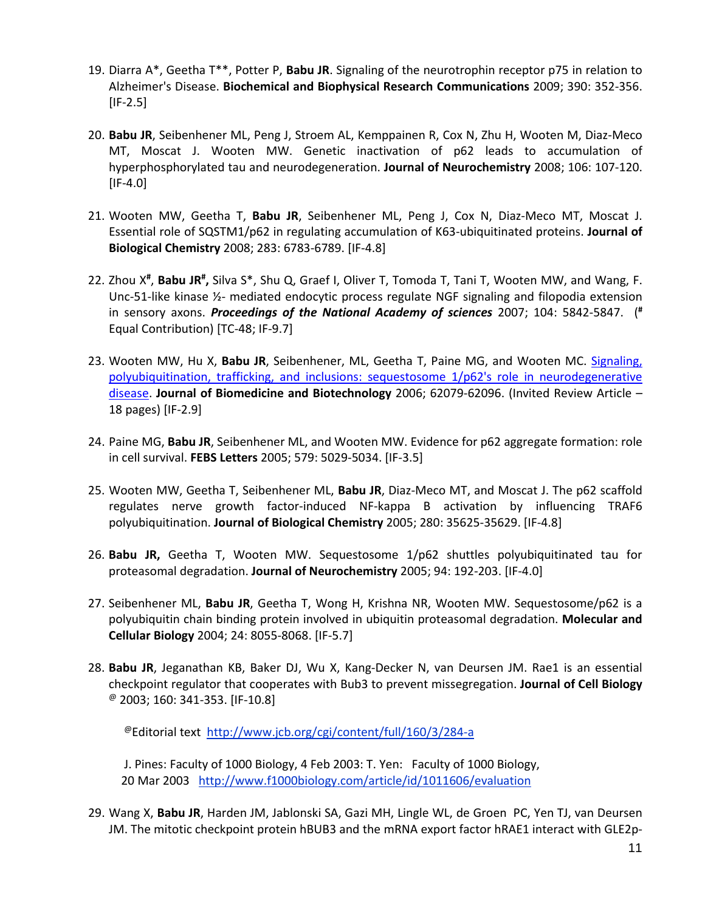- 19. Diarra A\*, Geetha T\*\*, Potter P, **Babu JR**. Signaling of the neurotrophin receptor p75 in relation to Alzheimer's Disease. **Biochemical and Biophysical Research Communications** 2009; 390: 352-356.  $[IF-2.5]$
- 20. **Babu JR**, Seibenhener ML, Peng J, Stroem AL, Kemppainen R, Cox N, Zhu H, Wooten M, Diaz-Meco MT, Moscat J. Wooten MW. Genetic inactivation of p62 leads to accumulation of hyperphosphorylated tau and neurodegeneration. **Journal of Neurochemistry** 2008; 106: 107-120.  $[IF-4.0]$
- 21. Wooten MW, Geetha T, **Babu JR**, Seibenhener ML, Peng J, Cox N, Diaz-Meco MT, Moscat J. Essential role of SQSTM1/p62 in regulating accumulation of K63-ubiquitinated proteins. **Journal of Biological Chemistry** 2008; 283: 6783-6789. [IF-4.8]
- 22. Zhou X<sup>#</sup>, Babu JR<sup>#</sup>, Silva S\*, Shu Q, Graef I, Oliver T, Tomoda T, Tani T, Wooten MW, and Wang, F. Unc-51-like kinase ½- mediated endocytic process regulate NGF signaling and filopodia extension in sensory axons. *Proceedings of the National Academy of sciences* 2007; 104: 5842-5847. (**#** Equal Contribution) [TC-48; IF-9.7]
- 23. Wooten MW, Hu X, **Babu JR**, Seibenhener, ML, Geetha T, Paine MG, and Wooten MC. [Signaling,](http://www.hindawi.com/GetArticle.aspx?doi=10.1155/JBB/2006/62079)  [polyubiquitination, trafficking, and inclusions: sequestosome 1/p62's role in neurodegenerative](http://www.hindawi.com/GetArticle.aspx?doi=10.1155/JBB/2006/62079)  [disease.](http://www.hindawi.com/GetArticle.aspx?doi=10.1155/JBB/2006/62079) **Journal of Biomedicine and Biotechnology** 2006; 62079-62096. (Invited Review Article – 18 pages) [IF-2.9]
- 24. Paine MG, **Babu JR**, Seibenhener ML, and Wooten MW. Evidence for p62 aggregate formation: role in cell survival. **FEBS Letters** 2005; 579: 5029-5034. [IF-3.5]
- 25. Wooten MW, Geetha T, Seibenhener ML, **Babu JR**, Diaz-Meco MT, and Moscat J. The p62 scaffold regulates nerve growth factor-induced NF-kappa B activation by influencing TRAF6 polyubiquitination. **Journal of Biological Chemistry** 2005; 280: 35625-35629. [IF-4.8]
- 26. **Babu JR,** Geetha T, Wooten MW. Sequestosome 1/p62 shuttles polyubiquitinated tau for proteasomal degradation. **Journal of Neurochemistry** 2005; 94: 192-203. [IF-4.0]
- 27. Seibenhener ML, **Babu JR**, Geetha T, Wong H, Krishna NR, Wooten MW. Sequestosome/p62 is a polyubiquitin chain binding protein involved in ubiquitin proteasomal degradation. **Molecular and Cellular Biology** 2004; 24: 8055-8068. [IF-5.7]
- 28. **Babu JR**, Jeganathan KB, Baker DJ, Wu X, Kang-Decker N, van Deursen JM. Rae1 is an essential checkpoint regulator that cooperates with Bub3 to prevent missegregation. **Journal of Cell Biology**  $^{\textcircled{\tiny{\textregistered}}}$  2003; 160: 341-353. [IF-10.8]

@Editorial text<http://www.jcb.org/cgi/content/full/160/3/284-a>

 J. Pines: Faculty of 1000 Biology, 4 Feb 2003: T. Yen: Faculty of 1000 Biology, 20 Mar 2003 http://www.f1000biology.com/article/id/1011606/evaluation

29. Wang X, **Babu JR**, Harden JM, Jablonski SA, Gazi MH, Lingle WL, de Groen PC, Yen TJ, van Deursen JM. The mitotic checkpoint protein hBUB3 and the mRNA export factor hRAE1 interact with GLE2p-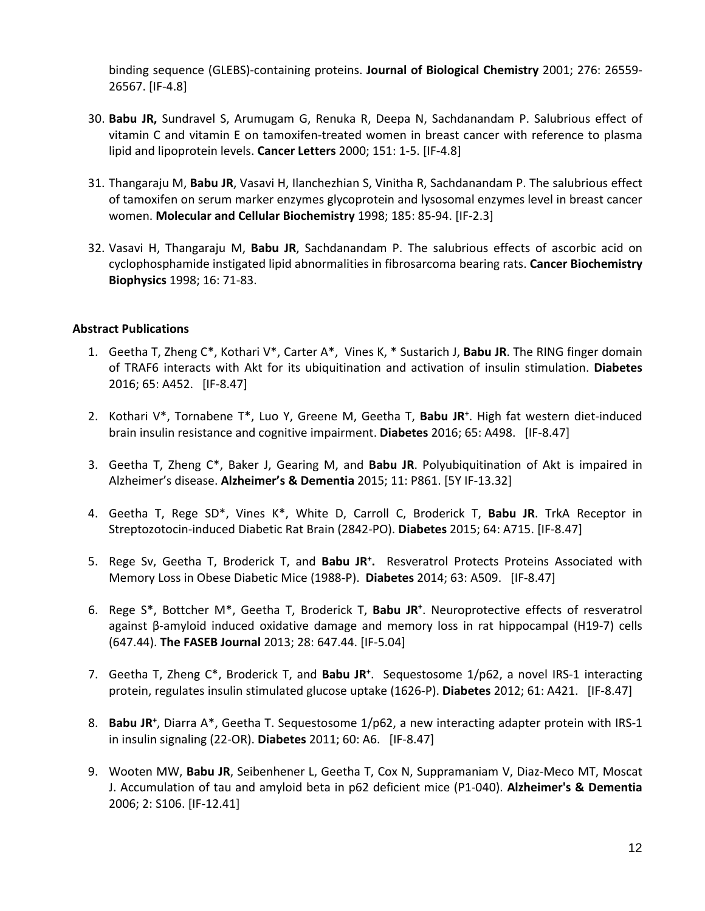binding sequence (GLEBS)-containing proteins. **Journal of Biological Chemistry** 2001; 276: 26559- 26567. [IF-4.8]

- 30. **Babu JR,** Sundravel S, Arumugam G, Renuka R, Deepa N, Sachdanandam P. Salubrious effect of vitamin C and vitamin E on tamoxifen-treated women in breast cancer with reference to plasma lipid and lipoprotein levels. **Cancer Letters** 2000; 151: 1-5. [IF-4.8]
- 31. Thangaraju M, **Babu JR**, Vasavi H, Ilanchezhian S, Vinitha R, Sachdanandam P. The salubrious effect of tamoxifen on serum marker enzymes glycoprotein and lysosomal enzymes level in breast cancer women. **Molecular and Cellular Biochemistry** 1998; 185: 85-94. [IF-2.3]
- 32. Vasavi H, Thangaraju M, **Babu JR**, Sachdanandam P. The salubrious effects of ascorbic acid on cyclophosphamide instigated lipid abnormalities in fibrosarcoma bearing rats. **Cancer Biochemistry Biophysics** 1998; 16: 71-83.

### **Abstract Publications**

- 1. Geetha T, Zheng C\*, Kothari V\*, Carter A\*, Vines K, \* Sustarich J, **Babu JR**. The RING finger domain of TRAF6 interacts with Akt for its ubiquitination and activation of insulin stimulation. **Diabetes** 2016; 65: A452. [IF-8.47]
- 2. Kothari V\*, Tornabene T\*, Luo Y, Greene M, Geetha T, **Babu JR+** . High fat western diet-induced brain insulin resistance and cognitive impairment. **Diabetes** 2016; 65: A498. [IF-8.47]
- 3. Geetha T, Zheng C\*, Baker J, Gearing M, and **Babu JR**. Polyubiquitination of Akt is impaired in Alzheimer's disease. **Alzheimer's & Dementia** 2015; 11: P861. [5Y IF-13.32]
- 4. Geetha T, Rege SD\*, Vines K\*, White D, Carroll C, Broderick T, **Babu JR**. TrkA Receptor in Streptozotocin-induced Diabetic Rat Brain (2842-PO). **Diabetes** 2015; 64: A715. [IF-8.47]
- 5. Rege Sv, Geetha T, Broderick T, and **Babu JR+ .** Resveratrol Protects Proteins Associated with Memory Loss in Obese Diabetic Mice (1988-P). **Diabetes** 2014; 63: A509. [IF-8.47]
- 6. Rege S\*, Bottcher M\*, Geetha T, Broderick T, **Babu JR+** . Neuroprotective effects of resveratrol against β-amyloid induced oxidative damage and memory loss in rat hippocampal (H19-7) cells (647.44). **The FASEB Journal** 2013; 28: 647.44. [IF-5.04]
- 7. Geetha T, Zheng C\*, Broderick T, and **Babu JR+** . Sequestosome 1/p62, a novel IRS-1 interacting protein, regulates insulin stimulated glucose uptake (1626-P). **Diabetes** 2012; 61: A421. [IF-8.47]
- 8. **Babu JR+** , Diarra A\*, Geetha T. Sequestosome 1/p62, a new interacting adapter protein with IRS-1 in insulin signaling (22-OR). **Diabetes** 2011; 60: A6. [IF-8.47]
- 9. Wooten MW, **Babu JR**, Seibenhener L, Geetha T, Cox N, Suppramaniam V, Diaz-Meco MT, Moscat J. Accumulation of tau and amyloid beta in p62 deficient mice (P1-040). **Alzheimer's & Dementia** 2006; 2: S106. [IF-12.41]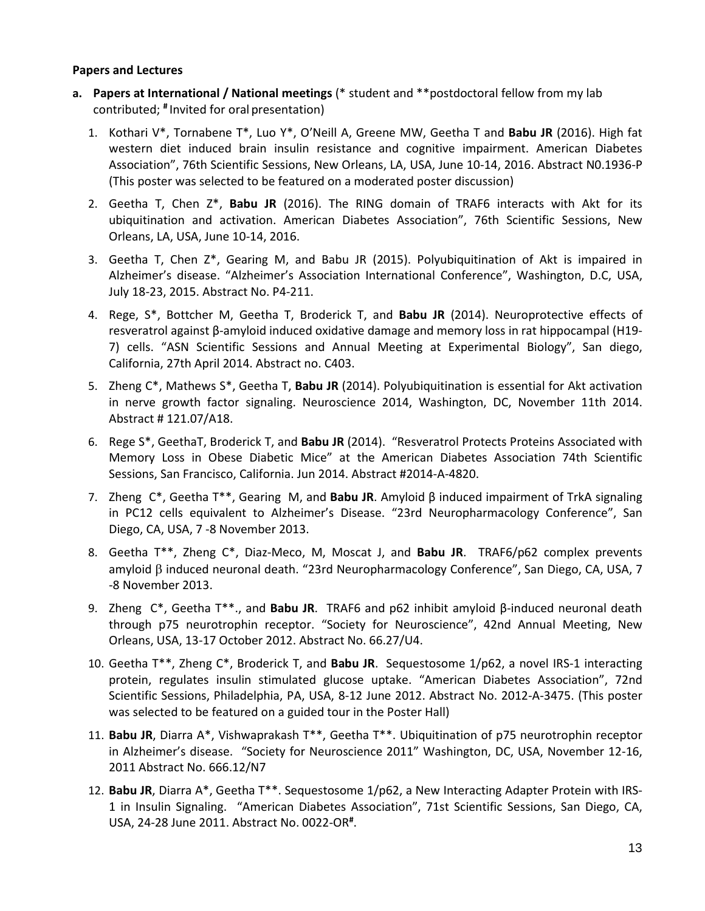### **Papers and Lectures**

- **a. Papers at International / National meetings** (\* student and \*\*postdoctoral fellow from my lab contributed; **#** Invited for oral presentation)
	- 1. Kothari V\*, Tornabene T\*, Luo Y\*, O'Neill A, Greene MW, Geetha T and **Babu JR** (2016). High fat western diet induced brain insulin resistance and cognitive impairment. American Diabetes Association", 76th Scientific Sessions, New Orleans, LA, USA, June 10-14, 2016. Abstract N0.1936-P (This poster was selected to be featured on a moderated poster discussion)
	- 2. Geetha T, Chen Z\*, **Babu JR** (2016). The RING domain of TRAF6 interacts with Akt for its ubiquitination and activation. American Diabetes Association", 76th Scientific Sessions, New Orleans, LA, USA, June 10-14, 2016.
	- 3. Geetha T, Chen Z\*, Gearing M, and Babu JR (2015). Polyubiquitination of Akt is impaired in Alzheimer's disease. "Alzheimer's Association International Conference", Washington, D.C, USA, July 18-23, 2015. Abstract No. P4-211.
	- 4. Rege, S\*, Bottcher M, Geetha T, Broderick T, and **Babu JR** (2014). Neuroprotective effects of resveratrol against β-amyloid induced oxidative damage and memory loss in rat hippocampal (H19- 7) cells. "ASN Scientific Sessions and Annual Meeting at Experimental Biology", San diego, California, 27th April 2014. Abstract no. C403.
	- 5. Zheng C\*, Mathews S\*, Geetha T, **Babu JR** (2014). Polyubiquitination is essential for Akt activation in nerve growth factor signaling. Neuroscience 2014, Washington, DC, November 11th 2014. Abstract # 121.07/A18.
	- 6. Rege S\*, GeethaT, Broderick T, and **Babu JR** (2014). "Resveratrol Protects Proteins Associated with Memory Loss in Obese Diabetic Mice" at the American Diabetes Association 74th Scientific Sessions, San Francisco, California. Jun 2014. Abstract #2014-A-4820.
	- 7. Zheng C\*, Geetha T\*\*, Gearing M, and **Babu JR**. Amyloid β induced impairment of TrkA signaling in PC12 cells equivalent to Alzheimer's Disease. "23rd Neuropharmacology Conference", San Diego, CA, USA, 7 -8 November 2013.
	- 8. Geetha T\*\*, Zheng C\*, Diaz-Meco, M, Moscat J, and **Babu JR**. TRAF6/p62 complex prevents amyloid β induced neuronal death. "23rd Neuropharmacology Conference", San Diego, CA, USA, 7 -8 November 2013.
	- 9. Zheng C\*, Geetha T\*\*., and **Babu JR**. TRAF6 and p62 inhibit amyloid β-induced neuronal death through p75 neurotrophin receptor. "Society for Neuroscience", 42nd Annual Meeting, New Orleans, USA, 13-17 October 2012. Abstract No. 66.27/U4.
	- 10. Geetha T\*\*, Zheng C\*, Broderick T, and **Babu JR**. Sequestosome 1/p62, a novel IRS-1 interacting protein, regulates insulin stimulated glucose uptake. "American Diabetes Association", 72nd Scientific Sessions, Philadelphia, PA, USA, 8-12 June 2012. Abstract No. 2012-A-3475. (This poster was selected to be featured on a guided tour in the Poster Hall)
	- 11. **Babu JR**, Diarra A\*, Vishwaprakash T\*\*, Geetha T\*\*. Ubiquitination of p75 neurotrophin receptor in Alzheimer's disease. "Society for Neuroscience 2011" Washington, DC, USA, November 12-16, 2011 Abstract No. 666.12/N7
	- 12. **Babu JR**, Diarra A\*, Geetha T\*\*. Sequestosome 1/p62, a New Interacting Adapter Protein with IRS-1 in Insulin Signaling. "American Diabetes Association", 71st Scientific Sessions, San Diego, CA, USA, 24-28 June 2011. Abstract No. 0022-OR**#** .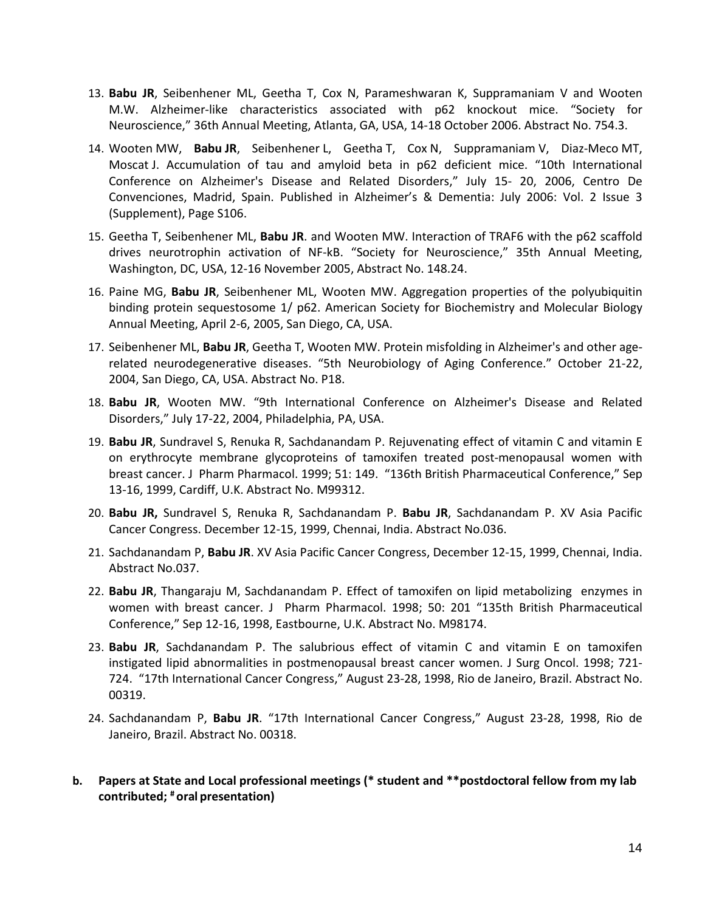- 13. **Babu JR**, Seibenhener ML, Geetha T, Cox N, Parameshwaran K, Suppramaniam V and Wooten M.W. Alzheimer-like characteristics associated with p62 knockout mice. "Society for Neuroscience," 36th Annual Meeting, Atlanta, GA, USA, 14-18 October 2006. Abstract No. 754.3.
- 14. Wooten MW, **Babu JR**, Seibenhener L, Geetha T, Cox N, Suppramaniam V, Diaz-Meco MT, Moscat J. Accumulation of tau and amyloid beta in p62 deficient mice. "10th International Conference on Alzheimer's Disease and Related Disorders," July 15- 20, 2006, Centro De Convenciones, Madrid, Spain. Published in Alzheimer's & Dementia: July 2006: Vol. 2 Issue 3 (Supplement), Page S106.
- 15. Geetha T, Seibenhener ML, **Babu JR**. and Wooten MW. Interaction of TRAF6 with the p62 scaffold drives neurotrophin activation of NF-kB. "Society for Neuroscience," 35th Annual Meeting, Washington, DC, USA, 12-16 November 2005, Abstract No. 148.24.
- 16. Paine MG, **Babu JR**, Seibenhener ML, Wooten MW. Aggregation properties of the polyubiquitin binding protein sequestosome 1/ p62. American Society for Biochemistry and Molecular Biology Annual Meeting, April 2-6, 2005, San Diego, CA, USA.
- 17. Seibenhener ML, **Babu JR**, Geetha T, Wooten MW. Protein misfolding in Alzheimer's and other agerelated neurodegenerative diseases. "5th Neurobiology of Aging Conference." October 21-22, 2004, San Diego, CA, USA. Abstract No. P18.
- 18. **Babu JR**, Wooten MW. "9th International Conference on Alzheimer's Disease and Related Disorders," July 17-22, 2004, Philadelphia, PA, USA.
- 19. **Babu JR**, Sundravel S, Renuka R, Sachdanandam P. Rejuvenating effect of vitamin C and vitamin E on erythrocyte membrane glycoproteins of tamoxifen treated post-menopausal women with breast cancer. J Pharm Pharmacol. 1999; 51: 149. "136th British Pharmaceutical Conference," Sep 13-16, 1999, Cardiff, U.K. Abstract No. M99312.
- 20. **Babu JR,** Sundravel S, Renuka R, Sachdanandam P. **Babu JR**, Sachdanandam P. XV Asia Pacific Cancer Congress. December 12-15, 1999, Chennai, India. Abstract No.036.
- 21. Sachdanandam P, **Babu JR**. XV Asia Pacific Cancer Congress, December 12-15, 1999, Chennai, India. Abstract No.037.
- 22. **Babu JR**, Thangaraju M, Sachdanandam P. Effect of tamoxifen on lipid metabolizing enzymes in women with breast cancer. J Pharm Pharmacol. 1998; 50: 201 "135th British Pharmaceutical Conference," Sep 12-16, 1998, Eastbourne, U.K. Abstract No. M98174.
- 23. **Babu JR**, Sachdanandam P. The salubrious effect of vitamin C and vitamin E on tamoxifen instigated lipid abnormalities in postmenopausal breast cancer women. J Surg Oncol. 1998; 721- 724. "17th International Cancer Congress," August 23-28, 1998, Rio de Janeiro, Brazil. Abstract No. 00319.
- 24. Sachdanandam P, **Babu JR**. "17th International Cancer Congress," August 23-28, 1998, Rio de Janeiro, Brazil. Abstract No. 00318.
- **b. Papers at State and Local professional meetings (\* student and \*\*postdoctoral fellow from my lab contributed; # oral presentation)**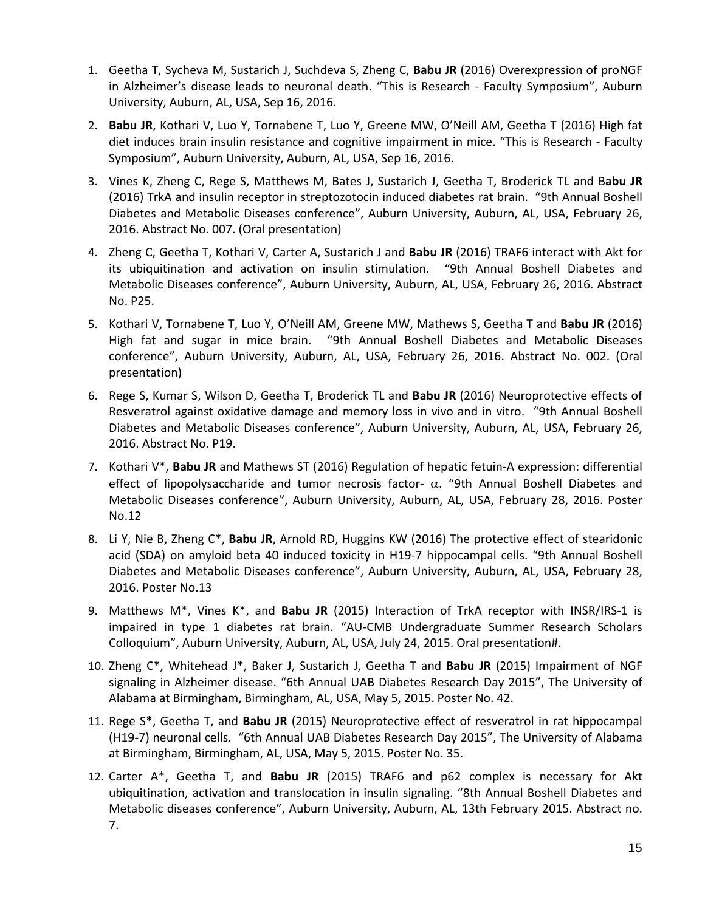- 1. Geetha T, Sycheva M, Sustarich J, Suchdeva S, Zheng C, **Babu JR** (2016) Overexpression of proNGF in Alzheimer's disease leads to neuronal death. "This is Research - Faculty Symposium", Auburn University, Auburn, AL, USA, Sep 16, 2016.
- 2. **Babu JR**, Kothari V, Luo Y, Tornabene T, Luo Y, Greene MW, O'Neill AM, Geetha T (2016) High fat diet induces brain insulin resistance and cognitive impairment in mice. "This is Research - Faculty Symposium", Auburn University, Auburn, AL, USA, Sep 16, 2016.
- 3. Vines K, Zheng C, Rege S, Matthews M, Bates J, Sustarich J, Geetha T, Broderick TL and B**abu JR**  (2016) TrkA and insulin receptor in streptozotocin induced diabetes rat brain. "9th Annual Boshell Diabetes and Metabolic Diseases conference", Auburn University, Auburn, AL, USA, February 26, 2016. Abstract No. 007. (Oral presentation)
- 4. Zheng C, Geetha T, Kothari V, Carter A, Sustarich J and **Babu JR** (2016) TRAF6 interact with Akt for its ubiquitination and activation on insulin stimulation. "9th Annual Boshell Diabetes and Metabolic Diseases conference", Auburn University, Auburn, AL, USA, February 26, 2016. Abstract No. P25.
- 5. Kothari V, Tornabene T, Luo Y, O'Neill AM, Greene MW, Mathews S, Geetha T and **Babu JR** (2016) High fat and sugar in mice brain. "9th Annual Boshell Diabetes and Metabolic Diseases conference", Auburn University, Auburn, AL, USA, February 26, 2016. Abstract No. 002. (Oral presentation)
- 6. Rege S, Kumar S, Wilson D, Geetha T, Broderick TL and **Babu JR** (2016) Neuroprotective effects of Resveratrol against oxidative damage and memory loss in vivo and in vitro. "9th Annual Boshell Diabetes and Metabolic Diseases conference", Auburn University, Auburn, AL, USA, February 26, 2016. Abstract No. P19.
- 7. Kothari V\*, **Babu JR** and Mathews ST (2016) Regulation of hepatic fetuin-A expression: differential effect of lipopolysaccharide and tumor necrosis factor- $\alpha$ . "9th Annual Boshell Diabetes and Metabolic Diseases conference", Auburn University, Auburn, AL, USA, February 28, 2016. Poster No.12
- 8. Li Y, Nie B, Zheng C\*, **Babu JR**, Arnold RD, Huggins KW (2016) The protective effect of stearidonic acid (SDA) on amyloid beta 40 induced toxicity in H19-7 hippocampal cells. "9th Annual Boshell Diabetes and Metabolic Diseases conference", Auburn University, Auburn, AL, USA, February 28, 2016. Poster No.13
- 9. Matthews M\*, Vines K\*, and **Babu JR** (2015) Interaction of TrkA receptor with INSR/IRS-1 is impaired in type 1 diabetes rat brain. "AU-CMB Undergraduate Summer Research Scholars Colloquium", Auburn University, Auburn, AL, USA, July 24, 2015. Oral presentation#.
- 10. Zheng C\*, Whitehead J\*, Baker J, Sustarich J, Geetha T and **Babu JR** (2015) Impairment of NGF signaling in Alzheimer disease. "6th Annual UAB Diabetes Research Day 2015", The University of Alabama at Birmingham, Birmingham, AL, USA, May 5, 2015. Poster No. 42.
- 11. Rege S\*, Geetha T, and **Babu JR** (2015) Neuroprotective effect of resveratrol in rat hippocampal (H19-7) neuronal cells. "6th Annual UAB Diabetes Research Day 2015", The University of Alabama at Birmingham, Birmingham, AL, USA, May 5, 2015. Poster No. 35.
- 12. Carter A\*, Geetha T, and **Babu JR** (2015) TRAF6 and p62 complex is necessary for Akt ubiquitination, activation and translocation in insulin signaling. "8th Annual Boshell Diabetes and Metabolic diseases conference", Auburn University, Auburn, AL, 13th February 2015. Abstract no. 7.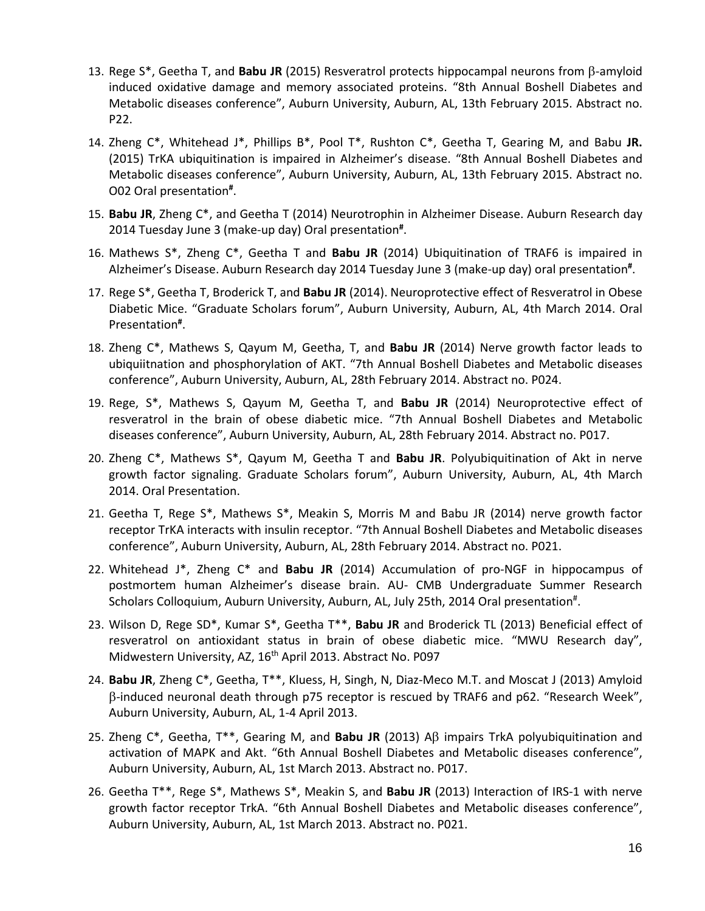- 13. Rege S\*, Geetha T, and **Babu JR** (2015) Resveratrol protects hippocampal neurons from β-amyloid induced oxidative damage and memory associated proteins. "8th Annual Boshell Diabetes and Metabolic diseases conference", Auburn University, Auburn, AL, 13th February 2015. Abstract no. P22.
- 14. Zheng C\*, Whitehead J\*, Phillips B\*, Pool T\*, Rushton C\*, Geetha T, Gearing M, and Babu **JR.** (2015) TrKA ubiquitination is impaired in Alzheimer's disease. "8th Annual Boshell Diabetes and Metabolic diseases conference", Auburn University, Auburn, AL, 13th February 2015. Abstract no. O02 Oral presentation**#** .
- 15. **Babu JR**, Zheng C\*, and Geetha T (2014) Neurotrophin in Alzheimer Disease. Auburn Research day 2014 Tuesday June 3 (make-up day) Oral presentation**#** .
- 16. Mathews S\*, Zheng C\*, Geetha T and **Babu JR** (2014) Ubiquitination of TRAF6 is impaired in Alzheimer's Disease. Auburn Research day 2014 Tuesday June 3 (make-up day) oral presentation**#** .
- 17. Rege S\*, Geetha T, Broderick T, and **Babu JR** (2014). Neuroprotective effect of Resveratrol in Obese Diabetic Mice. "Graduate Scholars forum", Auburn University, Auburn, AL, 4th March 2014. Oral Presentation**#** .
- 18. Zheng C\*, Mathews S, Qayum M, Geetha, T, and **Babu JR** (2014) Nerve growth factor leads to ubiquiitnation and phosphorylation of AKT. "7th Annual Boshell Diabetes and Metabolic diseases conference", Auburn University, Auburn, AL, 28th February 2014. Abstract no. P024.
- 19. Rege, S\*, Mathews S, Qayum M, Geetha T, and **Babu JR** (2014) Neuroprotective effect of resveratrol in the brain of obese diabetic mice. "7th Annual Boshell Diabetes and Metabolic diseases conference", Auburn University, Auburn, AL, 28th February 2014. Abstract no. P017.
- 20. Zheng C\*, Mathews S\*, Qayum M, Geetha T and **Babu JR**. Polyubiquitination of Akt in nerve growth factor signaling. Graduate Scholars forum", Auburn University, Auburn, AL, 4th March 2014. Oral Presentation.
- 21. Geetha T, Rege S\*, Mathews S\*, Meakin S, Morris M and Babu JR (2014) nerve growth factor receptor TrKA interacts with insulin receptor. "7th Annual Boshell Diabetes and Metabolic diseases conference", Auburn University, Auburn, AL, 28th February 2014. Abstract no. P021.
- 22. Whitehead J\*, Zheng C\* and **Babu JR** (2014) Accumulation of pro-NGF in hippocampus of postmortem human Alzheimer's disease brain. AU- CMB Undergraduate Summer Research Scholars Colloquium, Auburn University, Auburn, AL, July 25th, 2014 Oral presentation<sup>#</sup>.
- 23. Wilson D, Rege SD\*, Kumar S\*, Geetha T\*\*, **Babu JR** and Broderick TL (2013) Beneficial effect of resveratrol on antioxidant status in brain of obese diabetic mice. "MWU Research day", Midwestern University, AZ, 16<sup>th</sup> April 2013. Abstract No. P097
- 24. **Babu JR**, Zheng C\*, Geetha, T\*\*, Kluess, H, Singh, N, Diaz-Meco M.T. and Moscat J (2013) Amyloid β-induced neuronal death through p75 receptor is rescued by TRAF6 and p62. "Research Week", Auburn University, Auburn, AL, 1-4 April 2013.
- 25. Zheng C\*, Geetha, T\*\*, Gearing M, and **Babu JR** (2013) Aβ impairs TrkA polyubiquitination and activation of MAPK and Akt. "6th Annual Boshell Diabetes and Metabolic diseases conference", Auburn University, Auburn, AL, 1st March 2013. Abstract no. P017.
- 26. Geetha T\*\*, Rege S\*, Mathews S\*, Meakin S, and **Babu JR** (2013) Interaction of IRS-1 with nerve growth factor receptor TrkA. "6th Annual Boshell Diabetes and Metabolic diseases conference", Auburn University, Auburn, AL, 1st March 2013. Abstract no. P021.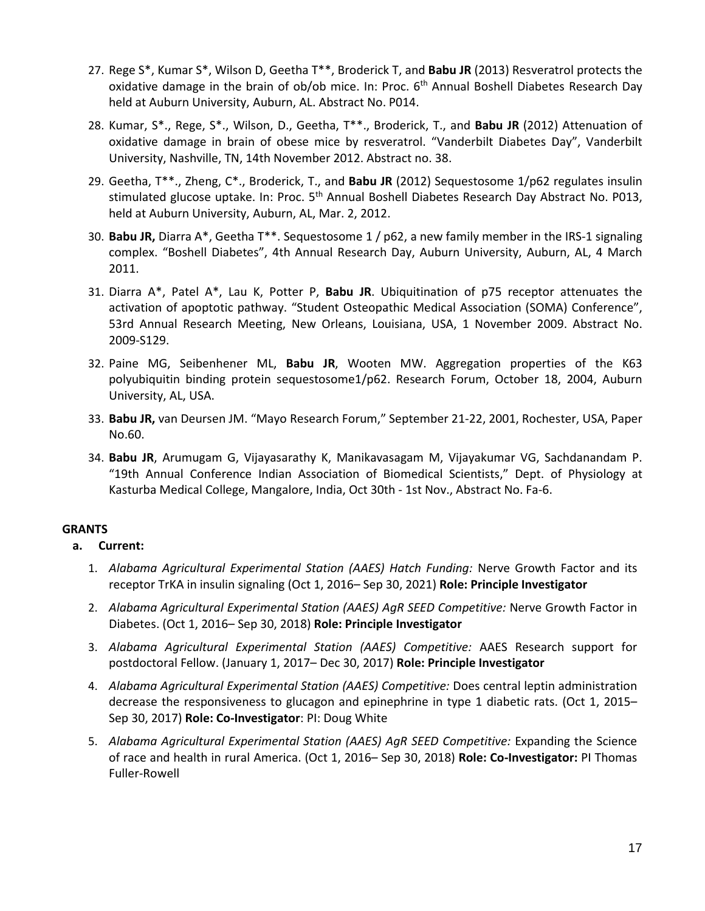- 27. Rege S\*, Kumar S\*, Wilson D, Geetha T\*\*, Broderick T, and **Babu JR** (2013) Resveratrol protects the oxidative damage in the brain of ob/ob mice. In: Proc. 6<sup>th</sup> Annual Boshell Diabetes Research Day held at Auburn University, Auburn, AL. Abstract No. P014.
- 28. Kumar, S\*., Rege, S\*., Wilson, D., Geetha, T\*\*., Broderick, T., and **Babu JR** (2012) Attenuation of oxidative damage in brain of obese mice by resveratrol. "Vanderbilt Diabetes Day", Vanderbilt University, Nashville, TN, 14th November 2012. Abstract no. 38.
- 29. Geetha, T\*\*., Zheng, C\*., Broderick, T., and **Babu JR** (2012) Sequestosome 1/p62 regulates insulin stimulated glucose uptake. In: Proc. 5<sup>th</sup> Annual Boshell Diabetes Research Day Abstract No. P013, held at Auburn University, Auburn, AL, Mar. 2, 2012.
- 30. **Babu JR,** Diarra A\*, Geetha T\*\*. Sequestosome 1 / p62, a new family member in the IRS-1 signaling complex. "Boshell Diabetes", 4th Annual Research Day, Auburn University, Auburn, AL, 4 March 2011.
- 31. Diarra A\*, Patel A\*, Lau K, Potter P, **Babu JR**. Ubiquitination of p75 receptor attenuates the activation of apoptotic pathway. "Student Osteopathic Medical Association (SOMA) Conference", 53rd Annual Research Meeting, New Orleans, Louisiana, USA, 1 November 2009. Abstract No. 2009-S129.
- 32. Paine MG, Seibenhener ML, **Babu JR**, Wooten MW. Aggregation properties of the K63 polyubiquitin binding protein sequestosome1/p62. Research Forum, October 18, 2004, Auburn University, AL, USA.
- 33. **Babu JR,** van Deursen JM. "Mayo Research Forum," September 21-22, 2001, Rochester, USA, Paper No.60.
- 34. **Babu JR**, Arumugam G, Vijayasarathy K, Manikavasagam M, Vijayakumar VG, Sachdanandam P. "19th Annual Conference Indian Association of Biomedical Scientists," Dept. of Physiology at Kasturba Medical College, Mangalore, India, Oct 30th - 1st Nov., Abstract No. Fa-6.

### **GRANTS**

- **a. Current:**
	- 1. *Alabama Agricultural Experimental Station (AAES) Hatch Funding:* Nerve Growth Factor and its receptor TrKA in insulin signaling (Oct 1, 2016– Sep 30, 2021) **Role: Principle Investigator**
	- 2. *Alabama Agricultural Experimental Station (AAES) AgR SEED Competitive:* Nerve Growth Factor in Diabetes. (Oct 1, 2016– Sep 30, 2018) **Role: Principle Investigator**
	- 3. *Alabama Agricultural Experimental Station (AAES) Competitive:* AAES Research support for postdoctoral Fellow. (January 1, 2017– Dec 30, 2017) **Role: Principle Investigator**
	- 4. *Alabama Agricultural Experimental Station (AAES) Competitive:* Does central leptin administration decrease the responsiveness to glucagon and epinephrine in type 1 diabetic rats. (Oct 1, 2015– Sep 30, 2017) **Role: Co-Investigator**: PI: Doug White
	- 5. *Alabama Agricultural Experimental Station (AAES) AgR SEED Competitive:* Expanding the Science of race and health in rural America. (Oct 1, 2016– Sep 30, 2018) **Role: Co-Investigator:** PI Thomas Fuller-Rowell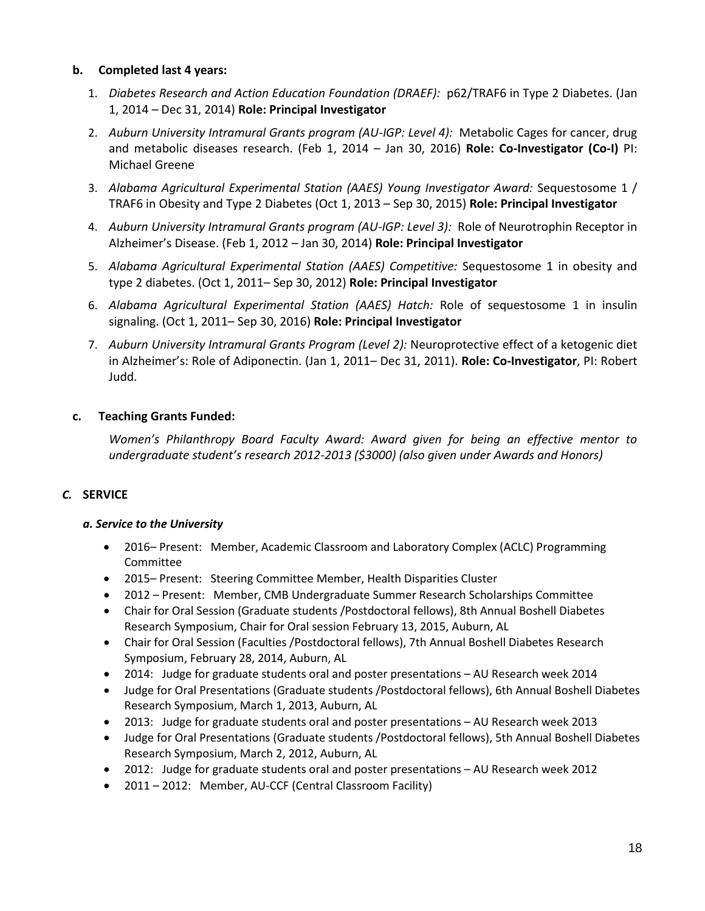### **b. Completed last 4 years:**

- 1. *Diabetes Research and Action Education Foundation (DRAEF):* p62/TRAF6 in Type 2 Diabetes. (Jan 1, 2014 – Dec 31, 2014) **Role: Principal Investigator**
- 2. *Auburn University Intramural Grants program (AU-IGP: Level 4):* Metabolic Cages for cancer, drug and metabolic diseases research. (Feb 1, 2014 – Jan 30, 2016) **Role: Co-Investigator (Co-I)** PI: Michael Greene
- 3. *Alabama Agricultural Experimental Station (AAES) Young Investigator Award:* Sequestosome 1 / TRAF6 in Obesity and Type 2 Diabetes (Oct 1, 2013 – Sep 30, 2015) **Role: Principal Investigator**
- 4. *Auburn University Intramural Grants program (AU-IGP: Level 3):* Role of Neurotrophin Receptor in Alzheimer's Disease. (Feb 1, 2012 – Jan 30, 2014) **Role: Principal Investigator**
- 5. *Alabama Agricultural Experimental Station (AAES) Competitive:* Sequestosome 1 in obesity and type 2 diabetes. (Oct 1, 2011– Sep 30, 2012) **Role: Principal Investigator**
- 6. *Alabama Agricultural Experimental Station (AAES) Hatch:* Role of sequestosome 1 in insulin signaling. (Oct 1, 2011– Sep 30, 2016) **Role: Principal Investigator**
- 7. *Auburn University Intramural Grants Program (Level 2):* Neuroprotective effect of a ketogenic diet in Alzheimer's: Role of Adiponectin. (Jan 1, 2011– Dec 31, 2011). **Role: Co-Investigator**, PI: Robert Judd.

### **c. Teaching Grants Funded:**

*Women's Philanthropy Board Faculty Award: Award given for being an effective mentor to undergraduate student's research 2012-2013 (\$3000) (also given under Awards and Honors)* 

### *C.* **SERVICE**

### *a. Service to the University*

- 2016– Present: Member, Academic Classroom and Laboratory Complex (ACLC) Programming Committee
- 2015– Present: Steering Committee Member, Health Disparities Cluster
- 2012 Present: Member, CMB Undergraduate Summer Research Scholarships Committee
- Chair for Oral Session (Graduate students /Postdoctoral fellows), 8th Annual Boshell Diabetes Research Symposium, Chair for Oral session February 13, 2015, Auburn, AL
- Chair for Oral Session (Faculties /Postdoctoral fellows), 7th Annual Boshell Diabetes Research Symposium, February 28, 2014, Auburn, AL
- 2014: Judge for graduate students oral and poster presentations AU Research week 2014
- Judge for Oral Presentations (Graduate students /Postdoctoral fellows), 6th Annual Boshell Diabetes Research Symposium, March 1, 2013, Auburn, AL
- 2013: Judge for graduate students oral and poster presentations AU Research week 2013
- Judge for Oral Presentations (Graduate students /Postdoctoral fellows), 5th Annual Boshell Diabetes Research Symposium, March 2, 2012, Auburn, AL
- 2012: Judge for graduate students oral and poster presentations AU Research week 2012
- 2011 2012: Member, AU-CCF (Central Classroom Facility)